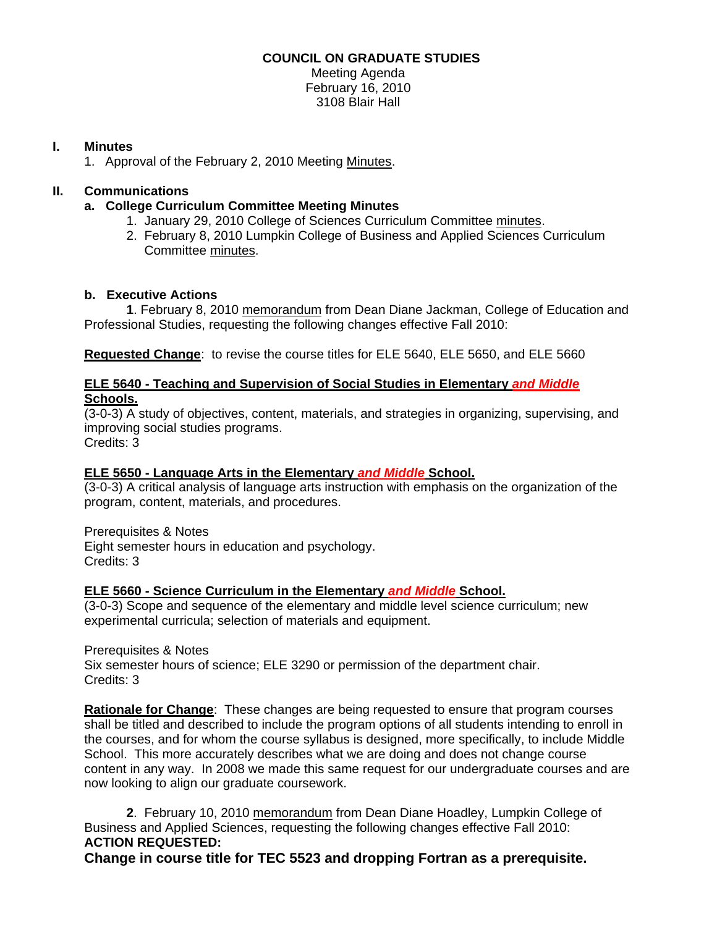# **COUNCIL ON GRADUATE STUDIES**

Meeting Agenda February 16, 2010 3108 Blair Hall

# **I. Minutes**

1. Approval of the February 2, 2010 Meeting [Minutes.](http://www.eiu.edu/~eiucgs/currentminutes/Minutes2-2-10.pdf) 

# **II. Communications**

- **a. College Curriculum Committee Meeting Minutes** 
	- 1. January 29, 2010 College of Sciences Curriculum Committe[e minutes.](http://www.eiu.edu/~eiucgs/currentagendaitems/COSMin1-29-10.pdf)
	- 2. February 8, 2010 Lumpkin College of Business and Applied Sciences Curriculum Committe[e minutes.](http://www.eiu.edu/~eiucgs/currentagendaitems/LCBASMin2-8-10.pdf)

# **b. Executive Actions**

 **1**. February 8, 201[0 memorandum fr](http://www.eiu.edu/~eiucgs/currentagendaitems/CEPS-exec-act-2-8-10.pdf)om Dean Diane Jackman, College of Education and Professional Studies, requesting the following changes effective Fall 2010:

**Requested Change**: to revise the course titles for ELE 5640, ELE 5650, and ELE 5660

# **ELE 5640 - Teaching and Supervision of Social Studies in Elementary** *and Middle* **Schools.**

(3-0-3) A study of objectives, content, materials, and strategies in organizing, supervising, and improving social studies programs.

Credits: 3

# **ELE 5650 - Language Arts in the Elementary** *and Middle* **School.**

(3-0-3) A critical analysis of language arts instruction with emphasis on the organization of the program, content, materials, and procedures.

Prerequisites & Notes Eight semester hours in education and psychology. Credits: 3

# **ELE 5660 - Science Curriculum in the Elementary** *and Middle* **School.**

(3-0-3) Scope and sequence of the elementary and middle level science curriculum; new experimental curricula; selection of materials and equipment.

Prerequisites & Notes Six semester hours of science; ELE 3290 or permission of the department chair. Credits: 3

**Rationale for Change**: These changes are being requested to ensure that program courses shall be titled and described to include the program options of all students intending to enroll in the courses, and for whom the course syllabus is designed, more specifically, to include Middle School. This more accurately describes what we are doing and does not change course content in any way. In 2008 we made this same request for our undergraduate courses and are now looking to align our graduate coursework.

**2**. February 10, 20[10 memorandum](http://www.eiu.edu/~eiucgs/currentagendaitems/LCBAS-2-10-10ExecAct.pdf) from Dean Diane Hoadley, Lumpkin College of Business and Applied Sciences, requesting the following changes effective Fall 2010: **ACTION REQUESTED: Change in course title for TEC 5523 and dropping Fortran as a prerequisite.**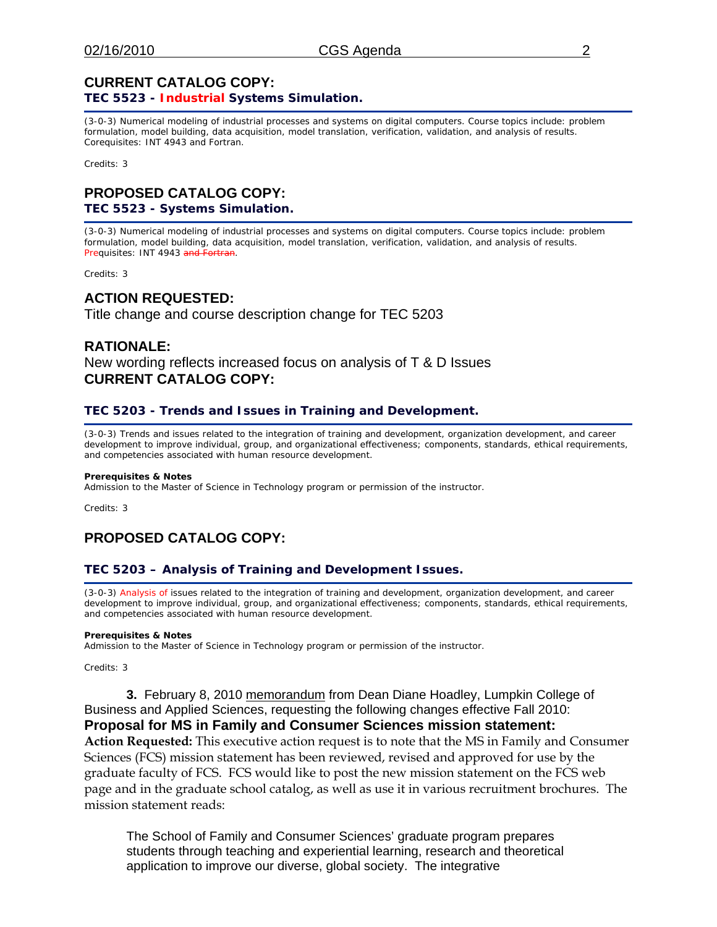### **CURRENT CATALOG COPY: TEC 5523 - Industrial Systems Simulation.**

(3-0-3) Numerical modeling of industrial processes and systems on digital computers. Course topics include: problem formulation, model building, data acquisition, model translation, verification, validation, and analysis of results. Corequisites: INT 4943 and Fortran.

Credits: 3

### **PROPOSED CATALOG COPY: TEC 5523 - Systems Simulation.**

(3-0-3) Numerical modeling of industrial processes and systems on digital computers. Course topics include: problem formulation, model building, data acquisition, model translation, verification, validation, and analysis of results. Prequisites: INT 4943 and Fortran.

Credits: 3

# **ACTION REQUESTED:**

Title change and course description change for TEC 5203

# **RATIONALE:**

New wording reflects increased focus on analysis of T & D Issues **CURRENT CATALOG COPY:** 

### **TEC 5203 - Trends and Issues in Training and Development.**

(3-0-3) Trends and issues related to the integration of training and development, organization development, and career development to improve individual, group, and organizational effectiveness; components, standards, ethical requirements, and competencies associated with human resource development.

#### **Prerequisites & Notes**

Admission to the Master of Science in Technology program or permission of the instructor.

Credits: 3

# **PROPOSED CATALOG COPY:**

### **TEC 5203 – Analysis of Training and Development Issues.**

(3-0-3) Analysis of issues related to the integration of training and development, organization development, and career development to improve individual, group, and organizational effectiveness; components, standards, ethical requirements, and competencies associated with human resource development.

#### **Prerequisites & Notes**

Admission to the Master of Science in Technology program or permission of the instructor.

Credits: 3

**3.** February 8, 201[0 memorandum f](http://www.eiu.edu/~eiucgs/currentagendaitems/LCBAS-2-8-10ExecAct.pdf)rom Dean Diane Hoadley, Lumpkin College of Business and Applied Sciences, requesting the following changes effective Fall 2010: **Proposal for MS in Family and Consumer Sciences mission statement: Action Requested:** This executive action request is to note that the MS in Family and Consumer Sciences (FCS) mission statement has been reviewed, revised and approved for use by the graduate faculty of FCS. FCS would like to post the new mission statement on the FCS web page and in the graduate school catalog, as well as use it in various recruitment brochures. The mission statement reads:

The School of Family and Consumer Sciences' graduate program prepares students through teaching and experiential learning, research and theoretical application to improve our diverse, global society. The integrative